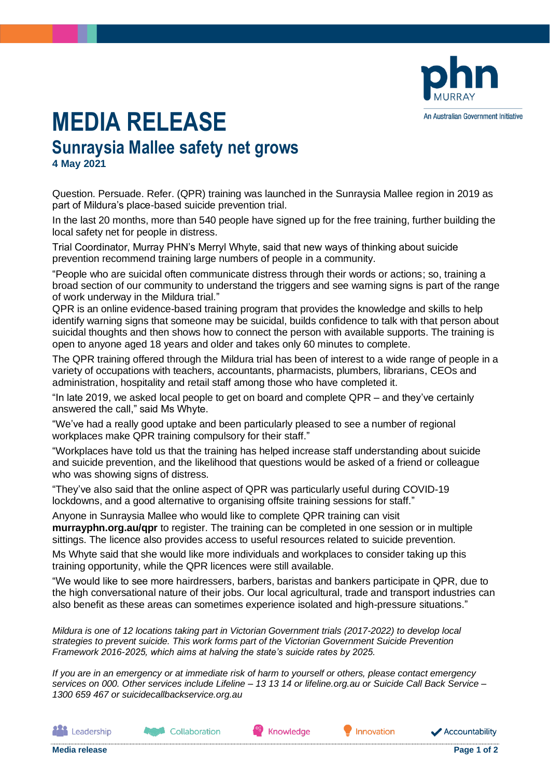

## **MEDIA RELEASE**

**Sunraysia Mallee safety net grows 4 May 2021**

Question. Persuade. Refer. (QPR) training was launched in the Sunraysia Mallee region in 2019 as part of Mildura's place-based suicide prevention trial.

In the last 20 months, more than 540 people have signed up for the free training, further building the local safety net for people in distress.

Trial Coordinator, Murray PHN's Merryl Whyte, said that new ways of thinking about suicide prevention recommend training large numbers of people in a community.

"People who are suicidal often communicate distress through their words or actions; so, training a broad section of our community to understand the triggers and see warning signs is part of the range of work underway in the Mildura trial."

QPR is an online evidence-based training program that provides the knowledge and skills to help identify warning signs that someone may be suicidal, builds confidence to talk with that person about suicidal thoughts and then shows how to connect the person with available supports. The training is open to anyone aged 18 years and older and takes only 60 minutes to complete.

The QPR training offered through the Mildura trial has been of interest to a wide range of people in a variety of occupations with teachers, accountants, pharmacists, plumbers, librarians, CEOs and administration, hospitality and retail staff among those who have completed it.

"In late 2019, we asked local people to get on board and complete QPR – and they've certainly answered the call," said Ms Whyte.

"We've had a really good uptake and been particularly pleased to see a number of regional workplaces make QPR training compulsory for their staff."

"Workplaces have told us that the training has helped increase staff understanding about suicide and suicide prevention, and the likelihood that questions would be asked of a friend or colleague who was showing signs of distress.

"They've also said that the online aspect of QPR was particularly useful during COVID-19 lockdowns, and a good alternative to organising offsite training sessions for staff."

Anyone in Sunraysia Mallee who would like to complete QPR training can visit

**murrayphn.org.au/qpr** to register. The training can be completed in one session or in multiple sittings. The licence also provides access to useful resources related to suicide prevention.

Ms Whyte said that she would like more individuals and workplaces to consider taking up this training opportunity, while the QPR licences were still available.

"We would like to see more hairdressers, barbers, baristas and bankers participate in QPR, due to the high conversational nature of their jobs. Our local agricultural, trade and transport industries can also benefit as these areas can sometimes experience isolated and high-pressure situations."

*Mildura is one of 12 locations taking part in Victorian Government trials (2017-2022) to develop local strategies to prevent suicide. This work forms part of the Victorian Government Suicide Prevention Framework 2016-2025, which aims at halving the state's suicide rates by 2025.* 

*If you are in an emergency or at immediate risk of harm to yourself or others, please contact emergency services on 000. Other services include Lifeline – 13 13 14 or lifeline.org.au or Suicide Call Back Service – 1300 659 467 or suicidecallbackservice.org.au* 

Knowledge

Leadership

Innovation